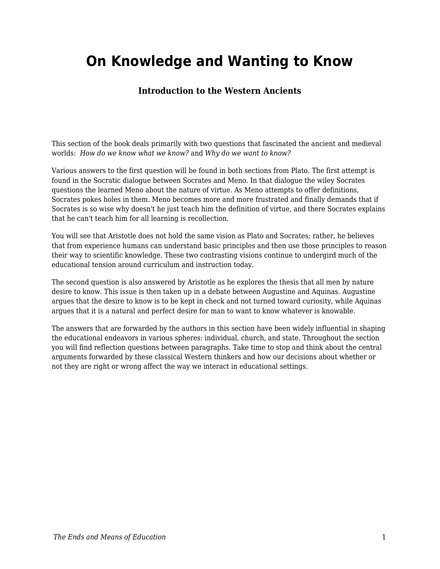## **On Knowledge and Wanting to Know**

## **Introduction to the Western Ancients**

This section of the book deals primarily with two questions that fascinated the ancient and medieval worlds: *How do we know what we know?* and *Why do we want to know?*

Various answers to the first question will be found in both sections from Plato. The first attempt is found in the Socratic dialogue between Socrates and Meno. In that dialogue the wiley Socrates questions the learned Meno about the nature of virtue. As Meno attempts to offer definitions, Socrates pokes holes in them. Meno becomes more and more frustrated and finally demands that if Socrates is so wise why doesn't he just teach him the definition of virtue, and there Socrates explains that he can't teach him for all learning is recollection.

You will see that Aristotle does not hold the same vision as Plato and Socrates; rather, he believes that from experience humans can understand basic principles and then use those principles to reason their way to scientific knowledge. These two contrasting visions continue to undergird much of the educational tension around curriculum and instruction today.

The second question is also answered by Aristotle as he explores the thesis that all men by nature desire to know. This issue is then taken up in a debate between Augustine and Aquinas. Augustine argues that the desire to know is to be kept in check and not turned toward curiosity, while Aquinas argues that it is a natural and perfect desire for man to want to know whatever is knowable.

The answers that are forwarded by the authors in this section have been widely influential in shaping the educational endeavors in various spheres: individual, church, and state. Throughout the section you will find reflection questions between paragraphs. Take time to stop and think about the central arguments forwarded by these classical Western thinkers and how our decisions about whether or not they are right or wrong affect the way we interact in educational settings.